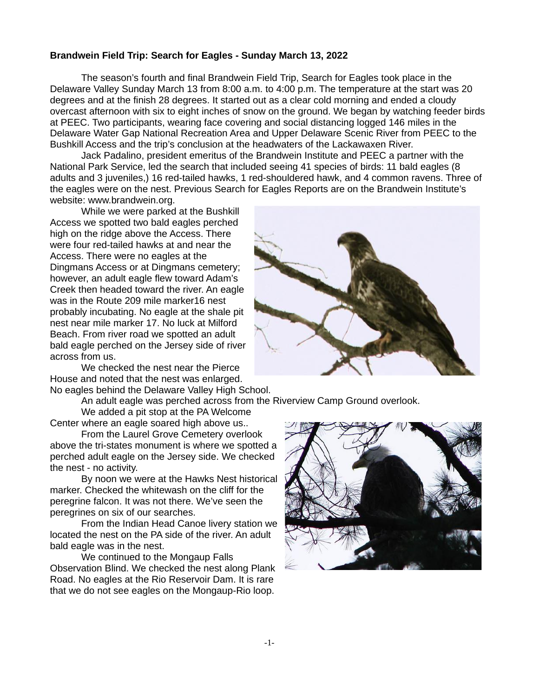## **Brandwein Field Trip: Search for Eagles - Sunday March 13, 2022**

The season's fourth and final Brandwein Field Trip, Search for Eagles took place in the Delaware Valley Sunday March 13 from 8:00 a.m. to 4:00 p.m. The temperature at the start was 20 degrees and at the finish 28 degrees. It started out as a clear cold morning and ended a cloudy overcast afternoon with six to eight inches of snow on the ground. We began by watching feeder birds at PEEC. Two participants, wearing face covering and social distancing logged 146 miles in the Delaware Water Gap National Recreation Area and Upper Delaware Scenic River from PEEC to the Bushkill Access and the trip's conclusion at the headwaters of the Lackawaxen River.

Jack Padalino, president emeritus of the Brandwein Institute and PEEC a partner with the National Park Service, led the search that included seeing 41 species of birds: 11 bald eagles (8 adults and 3 juveniles,) 16 red-tailed hawks, 1 red-shouldered hawk, and 4 common ravens. Three of the eagles were on the nest. Previous Search for Eagles Reports are on the Brandwein Institute's website: www.brandwein.org.

While we were parked at the Bushkill Access we spotted two bald eagles perched high on the ridge above the Access. There were four red-tailed hawks at and near the Access. There were no eagles at the Dingmans Access or at Dingmans cemetery; however, an adult eagle flew toward Adam's Creek then headed toward the river. An eagle was in the Route 209 mile marker16 nest probably incubating. No eagle at the shale pit nest near mile marker 17. No luck at Milford Beach. From river road we spotted an adult bald eagle perched on the Jersey side of river across from us.

We checked the nest near the Pierce House and noted that the nest was enlarged. No eagles behind the Delaware Valley High School.

An adult eagle was perched across from the Riverview Camp Ground overlook.

We added a pit stop at the PA Welcome Center where an eagle soared high above us..

From the Laurel Grove Cemetery overlook above the tri-states monument is where we spotted a perched adult eagle on the Jersey side. We checked the nest - no activity.

By noon we were at the Hawks Nest historical marker. Checked the whitewash on the cliff for the peregrine falcon. It was not there. We've seen the peregrines on six of our searches.

From the Indian Head Canoe livery station we located the nest on the PA side of the river. An adult bald eagle was in the nest.

We continued to the Mongaup Falls Observation Blind. We checked the nest along Plank Road. No eagles at the Rio Reservoir Dam. It is rare that we do not see eagles on the Mongaup-Rio loop.



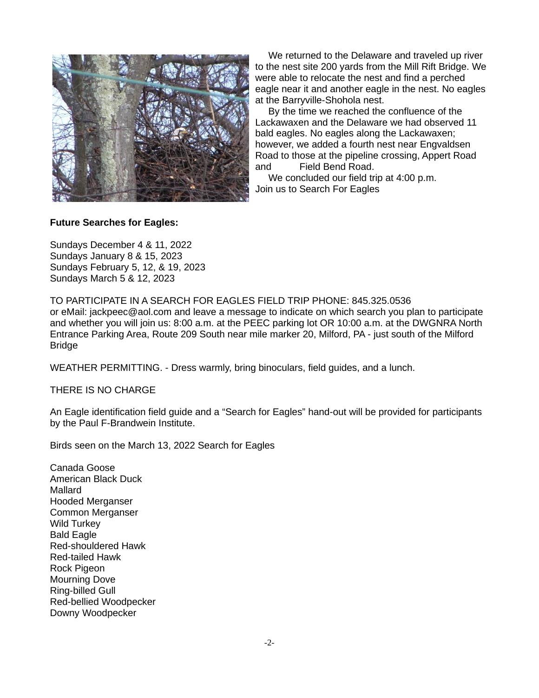

We returned to the Delaware and traveled up river to the nest site 200 yards from the Mill Rift Bridge. We were able to relocate the nest and find a perched eagle near it and another eagle in the nest. No eagles at the Barryville-Shohola nest.

By the time we reached the confluence of the Lackawaxen and the Delaware we had observed 11 bald eagles. No eagles along the Lackawaxen; however, we added a fourth nest near Engvaldsen Road to those at the pipeline crossing, Appert Road and Field Bend Road.

We concluded our field trip at 4:00 p.m. Join us to Search For Eagles

## **Future Searches for Eagles:**

Sundays December 4 & 11, 2022 Sundays January 8 & 15, 2023 Sundays February 5, 12, & 19, 2023 Sundays March 5 & 12, 2023

TO PARTICIPATE IN A SEARCH FOR EAGLES FIELD TRIP PHONE: 845.325.0536

or eMail: jackpeec@aol.com and leave a message to indicate on which search you plan to participate and whether you will join us: 8:00 a.m. at the PEEC parking lot OR 10:00 a.m. at the DWGNRA North Entrance Parking Area, Route 209 South near mile marker 20, Milford, PA - just south of the Milford **Bridge** 

WEATHER PERMITTING. - Dress warmly, bring binoculars, field guides, and a lunch.

THERE IS NO CHARGE

An Eagle identification field guide and a "Search for Eagles" hand-out will be provided for participants by the Paul F-Brandwein Institute.

Birds seen on the March 13, 2022 Search for Eagles

Canada Goose American Black Duck Mallard Hooded Merganser Common Merganser Wild Turkey Bald Eagle Red-shouldered Hawk Red-tailed Hawk Rock Pigeon Mourning Dove Ring-billed Gull Red-bellied Woodpecker Downy Woodpecker